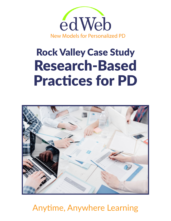

# Rock Valley Case Study Research-Based Practices for PD



Anytime, Anywhere Learning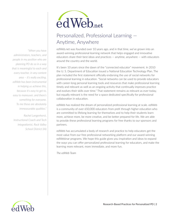

## Personalized, Professional Learning — Anytime, Anywhere

edWeb.net was founded over 10 years ago, and in that time, we've grown into an award-winning professional learning network that helps engaged and innovative educators share their best ideas and practices — anytime, anywhere — with educators around the country and the world.

It's been 10 years since the dawn of the "connected educator" movement. In 2010 the U. S. Department of Education issued a National Education Technology Plan. The plan included the first statement officially endorsing the use of social networks for professional learning in education. "Social networks can be used to provide educators with career-long personal learning tools and resources that make professional learning timely and relevant as well as an ongoing activity that continually improves practice and evolves their skills over time." That statement remains as relevant as ever today, but equally relevant is the need for a space dedicated specifically for professional collaboration in education.

edWeb has realized the dream of personalized professional learning at scale. edWeb is a community of over 650,000 educators from preK through higher education who are committed to lifelong learning for themselves and to help their students learn more, achieve more, be more creative, and be better prepared for life. We are able to provide these professional learning programs for free thanks to our sponsors and partners.

edWeb has accumulated a body of research and practice to help educators get the most value from our free professional networking platform and our award-winning edWebinar programs. We hope this guide gives you inspiration and ideas to expand the ways you can offer personalized professional learning for educators, and make the learning more relevant, more immediate, and more fun.

*The edWeb Team*



*administrators, teachers, and people in my position who are planning PD do so in a way that is meaningful to each and every teacher, in any content area – it's really exciting. edWeb has been instrumental in helping us achieve this, because it's easy to get to, easy to maneuver, and there's something for everyone. To me those are absolutely immeasurable qualities."* 

*"When you have* 

*Rachel Langenhorst, Instructional Coach and Tech Integrationist, Rock Valley School District (IA)*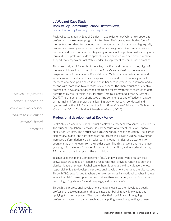#### **edWeb.net Case Study: Rock Valley Community School DIstrict (Iowa)**

Research report by Cambridge Learning Group

Rock Valley Community School District in Iowa relies on edWeb.net to support its professional development program for teachers. Their program embodies four of the key features identified by educational researchers as characterizing high-quality professional learning experiences, the effective design of online communities for teachers, and best practices for integrating informal online professional learning with formal district professional development. In each case, edWeb.net provides critical support that empowers Rock Valley leaders to implement research-based practices.

This case study explains each of these key practices and shows how they align with the research base. Information about the Rock Valley professional development program comes from review of Rock Valley's edWeb.net community content and interviews with the district leader responsible for it and two elementary school teachers who have participated in it, one in her second year in the classroom and a second with more than two decades of experience. The characteristics of effective professional development described are from a recent synthesis of research to date performed by the Learning Policy Institute (Darling-Hammond, Hyler, & Gardner, 2017). The characteristics of effective online communities and effective integration of informal and formal professional learning draw on research conducted and synthesized by the U.S. Department of Education's Office of Educational Technology (Cambridge, 2014; Cambridge & Nussbaum-Beach, 2014).

#### **Professional development at Rock Valley**

Rock Valley Community School District employs 65 teachers who serve 850 students. The student population is growing, in part because of a recent influx of Hispanic agricultural workers. The district has a growing special needs population. The district elementary, middle, and high school are co-located in a single building, allowing for increased differentiation, co-curricular learning opportunities, and occasions for younger students to learn from their older peers. The district went one-to-one five years ago. Each student in grades 1 through 3 has an iPad, and in grades 4 through 12 a laptop, to use throughout the school day.

Teacher Leadership and Compensation (TLC), an Iowa state-wide program that allows teachers to take on leadership responsibilities, provides funding to staff the district's leadership team. Rachel Langenhorst is among the district leaders whose responsibility it is to develop the professional development programs the district uses. Through TLC, experienced teachers are now serving as instructional coaches in areas where the district sees opportunities to strengthen instruction, such as instructional technology, English as a Second Language, and data analysis.

Through the professional development program, each teacher develops a yearly professional development plan that sets goals for building new knowledge and applying it in the classroom. The plan guides their participation in ongoing professional learning activities, such as participating in webinars, testing out new

*edWeb.net provides critical support that empowers Rock Valley leaders to implement research-based practices*

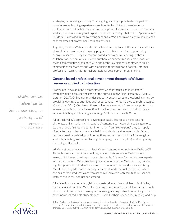strategies, or receiving coaching. This ongoing learning is punctuated by periodic, more intensive learning experiences, such as Rocket University—an in-house conference where teachers choose from a large list of sessions led by other teachers, leaders, and local and regional experts—and in-service days that include "personalized PD days." As detailed in the following sections, edWeb.net plays a central role in each of these types of professional learning activities.

Together, these edWeb-supported activities exemplify four of the key characteristics of an effective professional learning program identified by LPI as supported by rigorous research<sup>1</sup>. They are content-based, employ active learning, embrace collaboration, and are of a sustained duration. As summarized in Table 1, each of these characteristics aligns both with one of the key elements of effective online communities for teachers and with a principle for integration of online, informal professional learning with formal professional development programming.

#### **Content-based professional development through edWeb.net resources applied to instruction**

Professional development is most effective when it focuses on instructional strategies tied to the specific goals of the curriculum (Darling-Hammond, Hyler, & Gardner, 2017). Online communities support content-based professional learning by providing learning opportunities and resource repositories indexed to such strategies (Cambridge, 2014). Combining these online resources with face-to-face professional learning activities such as instructional coaching has the potential to dramatically improve teaching and learning (Cambridge & Nussbaum-Beach, 2014).

All of Rock Valley's professional development activities focus on the specific challenges of instruction within teachers' content areas. According to Langenhorst, teachers have a "serious need" for information from "real experts" they can apply directly to the challenges they face helping students meet learning goals. Often, teachers need help developing interventions and accommodations for struggling students, adapting instruction to English Language Learners (ELLs), and integrating technology effectively.

edWeb.net powerfully supports Rock Valley's content focus with its edWebinars<sup>TM</sup>. Through a wide range of communities, edWeb hosts several edWebinars each week, which Langenhorst reports are often led by "high-profile, well-known experts with a track record." When teachers join communities on edWeb.net, they receive regular updates about edWebinars and other new activities and resources. Kathy McGill, a third-grade teacher nearing retirement, adds that unlike others in which she has participated that were "too academic," edWeb's webinars feature "specific instructional ideas, not just background."

All edWebinars are recorded, yielding an extensive archive available to Rock Valley teachers in addition to edWeb's live offerings. For example, McGill has focused much of her recent professional learning on improving reading instruction, seeking to make it more individualized, hold students accountable for their independent reading, and help

*edWeb's webinars feature "specific instructional ideas, not just background."*

> — Kathy McGill, Third-Grade Teacher



<sup>1.</sup> Rock Valley's professional development enacts the other three key characteristics identified by the Learning Policy Institute—modeling, coaching, and reflection—as well. This report focuses on the subset of professional learning activities within which edWeb.net plays the most integral role.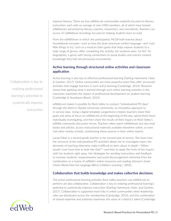improve fluency. There are five edWeb.net communities explicitly focused on literacy instruction, each with an average of over 4300 members, all of which have hosted edWebinars presented by literacy coaches, researchers, and consultants. Teachers can access 37 edWebinar recordings focused on helping students learn to read.

From the edWebinars in which she participated, McGill both learned about foundational concepts—such as how the brain processes written language—and "cool little things to try," such as a musical chairs game that helps expose students to a wide range of genres. After completing this activity, her students were "on fire" for biographies, a genre with strong connections to social studies and science content knowledge they had not previously encountered.

#### **Active learning through structured online activities and classroom application**

Active learning is also key to effective professional learning (Darling-Hammond, Hyler, & Gardner, 2017). Online communities are more powerful when they offer structured activities that engage teachers in such active learning (Cambridge, 2014). Research shows that applying what is learned through such online learning activities in the classroom maximizes the impact of professional development on student learning (Cambridge & Nussbaum-Beach, 2014).

edWeb.net makes it possible for Rock Valley to conduct "individualized PD days" through the district's Rocket University community, an innovative approach to in-service days. Using a digital template Langenhorst created, teachers share their goals and areas of focus on edWeb.net at the beginning of the day, spend three hours individually investigating, and then share the results of their inquiry on Rock Valley's edWeb community discussion forum. Teachers often watch edWebinars but also read books and articles, access instructional materials available elsewhere online, or even visit other nearby schools, synthesizing these sources in their online reports.

Lanae Faber is a second-grade teacher in her second year of service. She loves how the structure of the individualized PD activities allows her to investigate topics the demands of teaching otherwise make it difficult to learn about in-depth—"When would I ever have time to look into that?"—and then to apply the fruits of her inquiry with her students right away. Her dtrategies for wording instructions and feedback to increase students' responsiveness and avoid discouragement stemmed from the combination or a review of edWeb's online resources and reading Johnson's book *Choice Words:How Our Language Affects Children's Learning* (, 2003).

#### **Collaboration that builds knowledge and makes collective decisions**

The active professional learning activities Rock Valley teachers use edWeb.net to perform are also collaborative. Collaboration is key to realizing professional learning's potential to systemically improve instruction (Darling-Hammond, Hyler, and Gardner, 2017). Collaboration is supported most fully in online communities when leadership roles are distributed across the membership (Cambridge, 2014), and this combination of shared expertise and authority maximizes the value of a district's talent (Cambridge

*Collaboration is key to realizing professional learning's potential to systemically improve instruction*

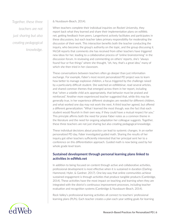*Together, these three teachers are not just sharing but also creating pedagogical knowledge.*  & Nussbaum-Beach, 2014).

When teachers complete their individual inquiries on Rocket University, they report back what they learned and share their implementation plans on edWeb. net, getting feedback from peers. Langenhorst actively facilitates and participates in these discussions, but each teacher takes primary responsibility for moderating the discussion of their work. This interaction benefits both the teacher conducting the inquiry, who becomes the group's authority on the topic, and the group discussing it. McGill reports that comments she has received from other teachers have triggered new ideas for her, leading to a collaborative process of "online brainstorming" in the discussion forum. In reviewing and commenting on others' reports, she's "always found four or five things" where she thought, "oh, hey, that's a great idea," many of which she then tried in her classroom.

These conversations between teachers often go deeper than just information exchange. For example, Faber's most recent personalized PD project was to learn how better to manage explosive children, a focus triggered by the challenge raised by a particularly difficult student. She watched an edWebinar, read several articles, and shared common themes that emerged across them in her report, including that "when a volatile child acts appropriately, that behavior must be praised and reinforced." Another more experienced teacher suggested that, while this may be generally true, in her experience different strategies are needed for different children, and what worked one day may not work the next. A third teacher agreed, but offered a different generalization: "What I learned the most though, was the fact that each student would flourish in their own way, if they could have a mutual respect for you." This principle affirms both the need for praise Faber notes as a common theme in the literature and the need for ongoing adaptation her colleague suggests. Together, these three teachers are not just sharing but also creating pedagogical knowledge.

These individual decisions about practice can lead to systemic changes. In an earlier personalized PD day, Faber investigated guided math. Sharing the results of her inquiry got other teachers sufficiently interested that her principal sent her to a conference on this differentiation approach. Guided math is now being used by her whole grade level team.

#### **Sustained development through personal learning plans linked to activities in edWeb.net**

In addition to being focused on content through active and collaborative activities, professional development is most effective when it is sustained in duration (Darling-Hammond, Hyler, & Gardner, 2017). One key way that online communities achieve sustained engagement is through activities that produce tangible products (Cambridge, 2014). These activities have the most impact on teaching and learning when they are integrated with the district's continuous improvement processes, including teacher evaluation and recognition systems (Cambridge & Nussbaum-Beach, 2014).

Rock Valley's professional learning activities all connect to teachers' professional learning plans (PLPs). Each teacher creates a plan each year setting goals for learning

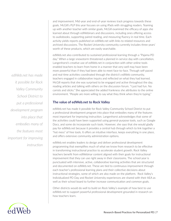and improvement. Mid-year and end-of-year reviews track progress towards these goals. McGill's PLP this year focuses on using iPads with struggling readers. Teaming up with another teacher with similar goals, McGill examined the efficacy of apps she learned about through edWebinars and discussions, including ones offering access to audiobooks, supporting paired reading, and measuring fluency in real time. Each activity yields reports published on edWeb.net with links to related resources and archived discussions. The Rocket University community currently includes three years' worth of these products, which are easily searchable.

edWeb.net also contributed to sustained professional learning through a "Pajama PD day." When a large snowstorm threatened a planned in-service day with cancellation, Langenhorst's creative use of edWeb.net in conjunction with other online tools enabled teachers to learn from home in a manner that very well may have been more powerful than if they had been able to meet face-to-face. Through self-paced and real-time activities coordinated through the district's edWeb community, teachers engaged in collaborative inquiry and reflected on what they had learned. McGill reports that she was surprised to be engaged and active throughout the day, reading articles and talking with others on the discussion forum. "I just had fun. No carrots and sticks." She appreciated the added frankness she attributes to the online environment. "People are more willing to say what they think when they're typing."

#### **The value of edWeb.net to Rock Valley**

edWeb.net has made it possible for Rock Valley Community School District to put a professional development program into place that embodies many of the features most important for improving instruction. Langenhorst acknowledges that some of the activities could have been supported using general-purpose tools, such as Google Docs, and some do incorporate such tools. However, she says that she would gladly pay for edWeb.net because it provides a central hub through which to link together a "hot mess" of free tools. It offers an intuitive interface, keeps everything in one place, and offers extensive community administration options.

edWeb.net enables leaders to design and deliver professional development programming that exemplifies much of what we know from research to be effective in transforming instructional practice to accelerate student growth. Rock Valley teachers benefit from edWebinar content aligned with their goals for instructional improvement that they can use right away in their classrooms. The school year is punctuated with intensive, active, collaborative learning activities that are structured and documented on edWeb.net. These are tied to continuous improvement through each teacher's professional learning plans and their collective decisions about instructional strategies, some of which are also made on the platform. Rock Valley's Individualized PD Day and Rocket University experiences are shared with their AEA as well as their school board to further increase communication and common goals.

Other districts would do well to build on Rock Valley's example of how best to use edWeb.net to support powerful professional development grounded in research on how teachers learn.



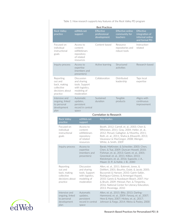| <b>Best Practices</b>                                                              |                                                                                             |                                          |                                                      |                                                                 |
|------------------------------------------------------------------------------------|---------------------------------------------------------------------------------------------|------------------------------------------|------------------------------------------------------|-----------------------------------------------------------------|
| <b>Rock Valley</b><br>practice                                                     | edWeb.net<br>support                                                                        | Effective<br>professional<br>development | <b>Effective online</b><br>community for<br>teachers | Effective<br>integration of<br>informal online<br>and formal PD |
| Focused on<br>individual<br>instructional<br>goals                                 | Access to<br>content:<br>edWebinars<br>repository<br>of related<br>resources                | Content-based                            | Resource<br>repositories and<br>robust tools         | Instruction-<br>related                                         |
| Inquiry process                                                                    | Access to<br>expertise<br>(members and<br>presenters)                                       | Active learning                          | Structured<br>activities                             | Research-based                                                  |
| Reporting<br>out and<br>back, making<br>collective<br>decisions about.<br>practice | Discussion<br>and sharing<br>tools. Support<br>with logistics.<br>modeling of<br>moderation | Collaboration                            | Distributed<br>leadership                            | Taps local<br>expertise                                         |
| Intensive and<br>ongoing, linked<br>to personal<br>development<br>plan             | <b>Automatic</b><br>updates,<br>persistent<br>record in central<br>space                    | Sustained<br>duration                    | Tangible<br>products                                 | Aligns with<br>continuous<br>improvement                        |
|                                                                                    |                                                                                             | Correlation to Research                  |                                                      |                                                                 |
| <b>Rock Valley</b><br>practice                                                     | edWeb.net<br>support                                                                        | Key studies                              |                                                      |                                                                 |

Table 1: How research supports key features of the Rock Valley PD program

| CUITEIALIUIT LU INESEATUIT |                                                                                    |                                                                                             |                                                                                                                                                                                                                                                                                                                                                 |  |
|----------------------------|------------------------------------------------------------------------------------|---------------------------------------------------------------------------------------------|-------------------------------------------------------------------------------------------------------------------------------------------------------------------------------------------------------------------------------------------------------------------------------------------------------------------------------------------------|--|
|                            | <b>Rock Valley</b><br>practice                                                     | edWeb.net<br>support                                                                        | <b>Key studies</b>                                                                                                                                                                                                                                                                                                                              |  |
|                            | Focused on<br>individual<br>instructional<br>goals                                 | Access to<br>content:<br>edWebinars<br>repository<br>of related<br>resources                | Booth, 2012; Carroll, et. al., 2003; Chen &<br>Whinston, 2011; Gray, 2004; Heller, et. al.,<br>2012; Penuel, Gallagher, & Moorthy, 2011;<br>Roth, et. al., 2011; Shaha & Ellsworth, 2013;<br>Vavasseur & MacGregor, 2008; Wenger,<br>White, & Smith, 2009                                                                                       |  |
|                            | Inquiry process                                                                    | Access to<br>expertise<br>(members and<br>presenters)                                       | Barab, MaKinster, & Scheckler, 2003; Chen,<br>Chen, & Tsai, 2009; Duncan-Howell, 2010;<br>Fishman, et. al., 2013; Garet, et. al., 2001;<br>Greenleaf, et. al., 2011; Killion, 2013;<br>Kleickmann, et. al., 2016; Supovitz, J. A.,<br>Mayer, D. P., & Kahle, J. B., 2000                                                                        |  |
|                            | Reporting<br>out and<br>back, making<br>collective<br>decisions about.<br>practice | Discussion<br>and sharing<br>tools. Support<br>with logistics,<br>modeling of<br>moderation | Allen, et. al., 2011; Babinski, Jones, &<br>DeWert, 2001; Bourhis, Dubé, & Jacob, 2005;<br>Buczynski & Hansen, 2010; Gairín-Sallán,<br>Rodríguez-Gómez, & Armengol-Asparó,<br>2010; Gareis & Nussbaum-Beach, 2007; Hur<br>& Brush, 2009; Meissel, Parr, & Timperley,<br>2016; National Center for Literacy Education,<br>2013; Prestridge, 2010 |  |
|                            | Intensive and<br>ongoing, linked<br>to personal<br>development<br>plan             | Automatic<br>updates,<br>persistent<br>record in central<br>space                           | Allen, et. al., 2015; Blitz, 2013; Darling-<br>Hammond, et. al., 2009; Farooq, et. al., 2007;<br>Hew & Hara, 2007; Hickey, et. al., 2017;<br>Johnson & Fargo, 2014; Weiss & Pasley, 2000                                                                                                                                                        |  |

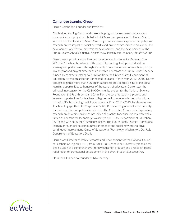#### **Cambridge Learning Group**

Darren Cambridge, Founder and President

Cambridge Learning Group leads research, program development, and strategic communications projects on behalf of NGOs and companies in the United States and Europe. The founder, Darren Cambridge, has extensive experience in policy and research on the impact of social networks and online communities in education, the development of effective professional development, and the development of the Future Ready Schools initiative. https://www.linkedin.com/company-beta/456688/

Darren was a principal consultant for the American Institutes for Research from 2010–2013 where he advanced the use of technology to improve education learning and performance through research, development, and outreach as principal investigator and project director of Connected Educators and Future Ready Leaders, funded by contracts totaling \$7.1 million from the United States Department of Education. As the organizer of Connected Educator Month from 2012–2015, Darren brought together more than 400 organizations to provide free online professional learning opportunities to hundreds of thousands of educators. Darren was the principal investigator for the CS10K Community project for the National Science Foundation (NSF), a three-year, \$2.4 million project that scales up professional learning opportunities for teachers of high school computer science nationally as part of NSF's broadening participation agenda. From 2011–2013, he also oversaw Teachers Engage, the Intel Corporation's 40,000-member global online community for teachers. Darren's publications include The Connected Community: Exploratory research on designing online communities of practice for educators to create value. Office of Educational Technology. Washington, DC: U.S. Department of Education, 2014; and with co-author Nussbaum-Beach, The Future Ready District: Professional learning through online communities of practice and social networks to drive continuous improvement. Office of Educational Technology. Washington, DC: U.S. Department of Education, 2014.

Darren was Director of Policy Research and Development for the National Council of Teachers of English (NCTE) from 2014–2016, where he successfully lobbied for the inclusion of a comprehensive literacy education program and a research-based redefinition of professional development in the Every Student Succeeds Act.

He is the CEO and co-founder of Mia Learning.

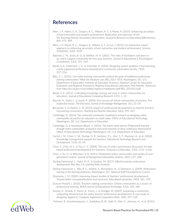### **References**

- Allen, J. P., Hafen, C. A., Gregory, A. C., Mikami, A. Y., & Pianta, R. (2015). Enhancing secondary school instruction and student achievement: Replication and extension of the My Teaching Partner-Secondary intervention. *Journal of Research on Educational Effectiveness, 8*(4), 475–489
- Allen, J. P., Pianta, R. C., Gregory, A., Mikami, A. Y., & Lun, J. (2011). An interaction-based approach to enhancing secondary school instruction and student achievement. Science, 333(6045), 1034–1037.
- Babinski, L. M., Jones, B. D., & DeWert, M. H. (2001). The roles of facilitators and peers in an online support community for first-year teachers. *Journal of Educational & Psychological Consultation, 12*(2), 151–169.
- Barab, S. A., MaKinster, J. G., & Scheckler, R. (2003). Designing system dualities: Characterizing a web-supported professional development community. *Information Society, 19*(3), 237–256.
- Blitz, C. L. (2013). *Can online learning communities achieve the goals of traditional professional learning communities? What the literature says (REL 2013–003).* Washington, DC: U.S. Department of Education, Institute of Education Sciences, National Center for Education Evaluation and Regional Assistance, Regional Educational Laboratory Mid-Atlantic. Retrieved from http://ies.ed.gov/ncee/edlabs/regions/midatlantic/pdf/REL\_2013013.pdf
- Booth, S. E. (2012). Cultivating knowledge sharing and trust in online communities for educators. *Journal of Educational Computing Research, 47*(1), 1–31.
- Bourhis, A., Dubé, L., & Jacob, R. (2005). The success of virtual communities of practice: The leadership factor. *The Electronic Journal of Knowledge Management, 3*(1), 23–34.
- Buczynski, S. & Hansen, C. B. (2010). Impact of professional development on teacher practice: Uncovering connections. *Teaching and Teacher Education, 26*(3), 599–607
- Cambridge, D. (2014). *The connected community: Exploratory research on designing online communities of practice for educators to create value.* Office of Educational Technology. Washington, DC: U.S. Department of Education.
- Cambridge, D. & Nussbaum-Beach, S. (2014). *The future ready district: Professional learning through online communities of practice and social networks to drive continuous improvement.* Office of Educational Technology. Washington, DC: U.S. Department of Education.
- Carroll, J. M., Choo, C. W., Dunlap, D. R., Isenhour, P. L., Kerr, S. T., MacLean, A., et al. (2003). Knowledge management support for teachers. *Educational Technology Research and Development, 51*(4), 42–64.
- Chen, Y., Chen, N. S., & Tsai, C.-C. (2009). The use of online synchronous discussion for webbased professional development for teachers. *Computers & Education, 53*(4), 1155–1166.
- Chen, J., Xu, H., & Whinston, A. B. (2011). Moderated online communities and quality of usergenerated content. *Journal of Management Information Systems, 28*(2), 237–268.
- Darling-Hammond, L., Hyler, M. E., & Gardner, M. (2017). *Effective teacher professional development. Palo Alto, CA: Learning Policy Institute.*
- Darling-Hammond, L., Wei, R. C., Andree, A., Richardson, N., & Orphanos, S. (2009). *Professional learning in the learning profession.* Washington, DC: National Staff Development Council.
- Desimone, L. M. (2009). Improving impact studies of teachers' professional development: Toward better conceptualizations and measures. *Educational researcher, 38*(3), 181–199.
- Duncan-Howell, J. (2010). Teachers making connections: Online communities as a source of professional learning. *British Journal of Educational Technology, 41*(2), 324–340.
- Farooq, U., Schank, P., Harris, A., Fusco, J., & Schlager, M. (2007). Sustaining a community computing infrastructure for online teacher professional development: A case study of designing Tapped In. *Computer Supported Cooperative Work, 16*(4), 397–429.

Fishman, B., Konstantopoulos, S., Kubitskey, B. W., Vath, R., Park, G., Johnson, H., et al. (2013).

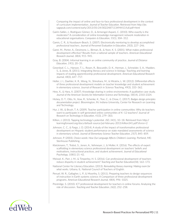Comparing the impact of online and face-to-face professional development in the context of curriculum implementation. *Journal of Teacher Education*. Retrieved from http://jte. sagepub.com/content/early/2013/05/24/0022487113494413.full.pdf+html

- Gairín-Sallán, J., Rodríguez-Gómez, D., & Armengol-Asparó, C. (2010). Who exactly is the moderator? A consideration of online knowledge management network moderation in educational organisations. *Computers & Education, 55*(1), 304–312.
- Gareis, C. R., & Nussbaum-Beach, S. (2007). Electronically mentoring to develop accomplished professional teachers. *Journal of Personnel Evaluation in Education, 20*(3), 227–246.
- Garet, M., Porter, A., Desimone, L., Birman, B., & Yoon, K. S. (2001). What makes professional development effective? Results from a national sample of teachers. *American Educational Research Journal, 38*(4), 915–945.
- Gray, B. (2004). Informal learning in an online community of practice. *Journal of Distance Education, 19*(1), 20–35.
- Greenleaf, C. L., Hanson, T. L., Rosen, R., Boscardin, D. K., Herman, J., Schneider, S. A., Madden, S., & Jones, B. (2011). Integrating literacy and science in biology: Teaching and learning impacts of reading apprenticeship professional development. *American Educational Research Journal, 48*(3), 647–717.
- Heller, J. I., Daehler, K. R., Wong, N., Shinohara, M., & Miratrix, L. W. (2012). Differential effects of three professional development models on teacher knowledge and student achievement in elementary science. Journal of Research in Science Teaching, 49(3), 333–362.
- Hew, X., & Hara, X. (2007). Knowledge sharing in online environments: A qualitative case study. *Journal of the American Society for Information Science and Technology, 58*(14), 2310-2324.
- Hickey, D. T., Otto, N., Itow, R., Schenke, K., Tran, C., & Chow, C. (2017). *Badges design principles documentation project*. Bloomington, IN: Indiana University, Center for Research on Learning and Technology.
- Hur, J. W., & Brush, T. A. (2009). Teacher participation in online communities: Why do teachers want to participate in self-generated online communities of K–12 teachers? Journal of *Research on Technology in Education, 41*(3), 279–303.
- Killion, J. (2013). Tapping technology's potential. *JSD, 34*(1), 10–18. Retrieved from http:// learningforward.org/docs/default-source/jsd-february-2013/killion341.pdf?sfvrsn=2
- Johnson, C. C., & Fargo, J. D. (2014). A study of the impact of transformative professional development on Hispanic student performance on state mandated assessments of science in elementary school. *Journal of Elementary Science Teacher Education, 25*(7), 845–859.
- Johnson, P. (2003). *Choice words: How Our Language Affects Children's Learning*. Portland, ME: Stenhouse Publishing.
- Kleickmann, T., Trobst, S., Jonen, A., Vehmeyer, J., & Moller, K. (2016). The effects of expert scaffolding in elementary science professional development on teachers' beliefs and motivations, instructional practices, and student achievement. *Journal of Educational Psychology, 108*(1) 21–42.
- Meissel, K., Parr, J. M., & Timperley, H. S. (2016). Can professional development of teachers reduce disparity in student achievement? *Teaching and Teacher Education(58),* 163–173.
- National Center for Literacy Education. (2013). *Remodeling literacy learning: Making room for what works*. Urbana, IL: National Council of Teachers of English.
- Penuel, W. R., Gallagher, L. P., & Moorthy, S. (2011). Preparing teachers to design sequences of instruction in Earth systems science: A Comparison of three professional development programs. *American Educational Research Journal, 48*(4), 996–1025.
- Prestridge, S. (2010). ICT professional development for teachers in online forums: Analysing the role of discussion. *Teaching and Teacher Education, 26*(2), 252–258.